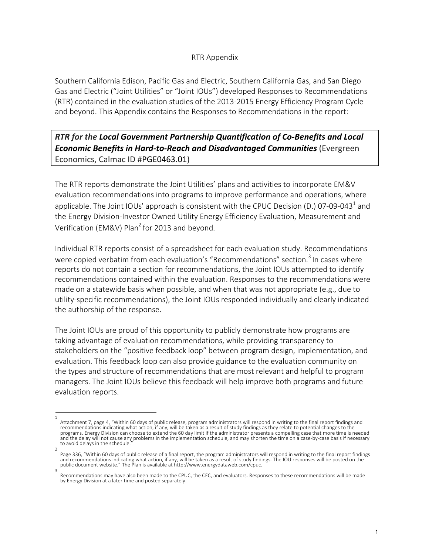#### RTR Appendix

Southern California Edison, Pacific Gas and Electric, Southern California Gas, and San Diego Gas and Electric ("Joint Utilities" or "Joint IOUs") developed Responses to Recommendations (RTR) contained in the evaluation studies of the 2013-2015 Energy Efficiency Program Cycle and beyond. This Appendix contains the Responses to Recommendations in the report:

### *RTR for the Local Government Partnership Quantification of Co-Benefits and Local Economic Benefits in Hard-to-Reach and Disadvantaged Communities* (Evergreen Economics, Calmac ID #PGE0463.01)

The RTR reports demonstrate the Joint Utilities' plans and activities to incorporate EM&V evaluation recommendations into programs to improve performance and operations, where applicable. The Joint IOUs' approach is consistent with the CPUC Decision (D.) 07-09-043<sup>1</sup> and the Energy Division-Investor Owned Utility Energy Efficiency Evaluation, Measurement and Verification (EM&V) Plan<sup>2</sup> for 2013 and beyond.

Individual RTR reports consist of a spreadsheet for each evaluation study. Recommendations were copied verbatim from each evaluation's "Recommendations" section.<sup>3</sup> In cases where reports do not contain a section for recommendations, the Joint IOUs attempted to identify recommendations contained within the evaluation. Responses to the recommendations were made on a statewide basis when possible, and when that was not appropriate (e.g., due to utility-specific recommendations), the Joint IOUs responded individually and clearly indicated the authorship of the response.

The Joint IOUs are proud of this opportunity to publicly demonstrate how programs are taking advantage of evaluation recommendations, while providing transparency to stakeholders on the "positive feedback loop" between program design, implementation, and evaluation. This feedback loop can also provide guidance to the evaluation community on the types and structure of recommendations that are most relevant and helpful to program managers. The Joint IOUs believe this feedback will help improve both programs and future evaluation reports.

<sup>1</sup> Attachment 7, page 4, "Within 60 days of public release, program administrators will respond in writing to the final report findings and recommendations indicating what action, if any, will be taken as a result of study findings as they relate to potential changes to the programs. Energy Division can choose to extend the 60 day limit if the administrator presents a compelling case that more time is needed and the delay will not cause any problems in the implementation schedule, and may shorten the time on a case-by-case basis if necessary to avoid delays in the schedule.

<sup>2</sup> Page 336, "Within 60 days of public release of a final report, the program administrators will respond in writing to the final report findings and recommendations indicating what action, if any, will be taken as a result of study findings. The IOU responses will be posted on the public document website." The Plan is available at http://www.energydataweb.com/cpuc.

<sup>3</sup> Recommendations may have also been made to the CPUC, the CEC, and evaluators. Responses to these recommendations will be made by Energy Division at a later time and posted separately.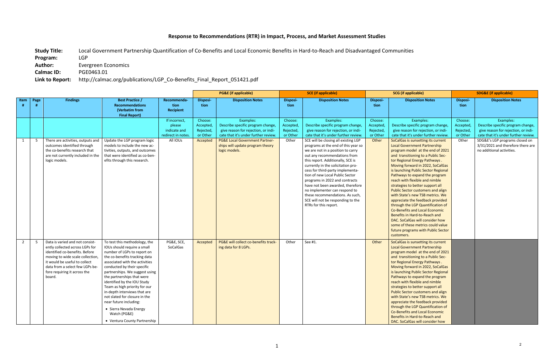**Study Title:** Local Government Partnership Quantification of Co-Benefits and Local Economic Benefits in Hard-to-Reach and Disadvantaged Communities **Program:** LGP Author: **Evergreen Economics** 

# **Response to Recommendations (RTR) in Impact, Process, and Market Assessment Studies**

**Calmac ID:** PGE0463.01

# **Link to Report:** http://calmac.org/publications/LGP\_Co-Benefits\_Final\_Report\_051421.pdf

|                |      |                                                                                                                                                                                                                                                        |                                                                                                                                                                                                                                                                                                                                                                                                                                                                                                    |                                                               | <b>PG&amp;E</b> (if applicable)               |                                                                                                                               | <b>SCE</b> (if applicable)                    |                                                                                                                                                                                                                                                                                                                                                                                                                                                                                                            | <b>SCG</b> (if applicable)                    |                                                                                                                                                                                                                                                                                                                                                                                                                                                                                                                                                                                                                                                                                                                          | <b>SDG&amp;E (if applicable)</b>             |                                                                                                                               |
|----------------|------|--------------------------------------------------------------------------------------------------------------------------------------------------------------------------------------------------------------------------------------------------------|----------------------------------------------------------------------------------------------------------------------------------------------------------------------------------------------------------------------------------------------------------------------------------------------------------------------------------------------------------------------------------------------------------------------------------------------------------------------------------------------------|---------------------------------------------------------------|-----------------------------------------------|-------------------------------------------------------------------------------------------------------------------------------|-----------------------------------------------|------------------------------------------------------------------------------------------------------------------------------------------------------------------------------------------------------------------------------------------------------------------------------------------------------------------------------------------------------------------------------------------------------------------------------------------------------------------------------------------------------------|-----------------------------------------------|--------------------------------------------------------------------------------------------------------------------------------------------------------------------------------------------------------------------------------------------------------------------------------------------------------------------------------------------------------------------------------------------------------------------------------------------------------------------------------------------------------------------------------------------------------------------------------------------------------------------------------------------------------------------------------------------------------------------------|----------------------------------------------|-------------------------------------------------------------------------------------------------------------------------------|
| Item           | Page | <b>Findings</b>                                                                                                                                                                                                                                        | <b>Best Practice /</b><br><b>Recommendations</b><br>(Verbatim from<br><b>Final Report)</b>                                                                                                                                                                                                                                                                                                                                                                                                         | Recommenda-<br>tion<br><b>Recipient</b>                       | <b>Disposi-</b><br>tion                       | <b>Disposition Notes</b>                                                                                                      | Disposi-<br>tion                              | <b>Disposition Notes</b>                                                                                                                                                                                                                                                                                                                                                                                                                                                                                   | <b>Disposi-</b><br>tion                       | <b>Disposition Notes</b>                                                                                                                                                                                                                                                                                                                                                                                                                                                                                                                                                                                                                                                                                                 | Disposi-<br>tion                             | <b>Disposition Notes</b>                                                                                                      |
|                |      |                                                                                                                                                                                                                                                        |                                                                                                                                                                                                                                                                                                                                                                                                                                                                                                    | If incorrect,<br>please<br>indicate and<br>redirect in notes. | Choose:<br>Accepted,<br>Rejected,<br>or Other | Examples:<br>Describe specific program change,<br>give reason for rejection, or indi-<br>cate that it's under further review. | Choose:<br>Accepted,<br>Rejected,<br>or Other | Examples:<br>Describe specific program change,<br>give reason for rejection, or indi-<br>cate that it's under further review.                                                                                                                                                                                                                                                                                                                                                                              | Choose:<br>Accepted,<br>Rejected,<br>or Other | Examples:<br>Describe specific program change,<br>give reason for rejection, or indi-<br>cate that it's under further review.                                                                                                                                                                                                                                                                                                                                                                                                                                                                                                                                                                                            | Choose:<br>Accepted<br>Rejected,<br>or Other | Examples:<br>Describe specific program change,<br>give reason for rejection, or indi-<br>cate that it's under further review. |
| 1              | - 5  | There are activities, outputs and<br>outcomes identified through<br>the co-benefits research that<br>are not currently included in the<br>logic models.                                                                                                | Update the LGP program logic<br>models to include the new ac-<br>tivities, outputs, and outcomes<br>that were identified as co-ben-<br>efits through this research.                                                                                                                                                                                                                                                                                                                                | All IOUs                                                      | Accepted                                      | <b>PG&amp;E Local Government Partner-</b><br>ships will update program theory<br>logic models.                                | Other                                         | SCE will be closing all existing LGP<br>programs at the end of this year so<br>we are not in a position to carry<br>out any recommendations from<br>this report. Additionally, SCE is<br>currently in the solicitation pro-<br>cess for third-party implementa-<br>tion of new Local Public Sector<br>programs in 2022 and contracts<br>have not been awarded, therefore<br>no implementer can respond to<br>these recommendations. As such,<br>SCE will not be responding to the<br>RTRs for this report. | Other                                         | SoCalGas is sunsetting its current<br><b>Local Government Partnership</b><br>program model at the end of 2021<br>and transitioning to a Public Sec-<br>tor Regional Energy Pathways.<br>Moving forward in 2022, SoCalGas<br>is launching Public Sector Regional<br>Pathways to expand the program<br>reach with flexible and nimble<br>strategies to better support all<br>Public Sector customers and align<br>with State's new TSB metrics. We<br>appreciate the feedback provided<br>through the LGP Quantification of<br>Co-Benefits and Local Economic<br>Benefits in Hard-to-Reach and<br>DAC. SoCalGas will consider how<br>some of these metrics could value<br>future programs with Public Sector<br>customers. | Other                                        | SDG&E's LGP programs closed on<br>3/31/2021 and therefore there are<br>no additional activities.                              |
| $\overline{2}$ | -5   | Data is varied and not consist-<br>ently collected across LGPs for<br>identified co-benefits. Before<br>moving to wide scale collection,<br>it would be useful to collect<br>data from a select few LGPs be-<br>fore requiring it across the<br>board. | To test this methodology, the<br>IOUs should require a small<br>number of LGPs to report on<br>the co-benefits tracking data<br>associated with the activities<br>conducted by their specific<br>partnerships. We suggest using<br>the partnerships that were<br>identified by the IOU Study<br>Team as high priority for our<br>in-depth interviews that are<br>not slated for closure in the<br>near future including:<br>• Sierra Nevada Energy<br>Watch (PG&E)<br>• Ventura County Partnership | PG&E, SCE,<br>SoCalGas                                        | Accepted                                      | PG&E will collect co-benefits track-<br>ing data for 8 LGPs.                                                                  | Other                                         | See #1.                                                                                                                                                                                                                                                                                                                                                                                                                                                                                                    | Other                                         | SoCalGas is sunsetting its current<br><b>Local Government Partnership</b><br>program model at the end of 2021<br>and transitioning to a Public Sec-<br>tor Regional Energy Pathways.<br>Moving forward in 2022, SoCalGas<br>is launching Public Sector Regional<br>Pathways to expand the program<br>reach with flexible and nimble<br>strategies to better support all<br>Public Sector customers and align<br>with State's new TSB metrics. We<br>appreciate the feedback provided<br>through the LGP Quantification of<br><b>Co-Benefits and Local Economic</b><br>Benefits in Hard-to-Reach and<br>DAC. SoCalGas will consider how                                                                                   |                                              |                                                                                                                               |